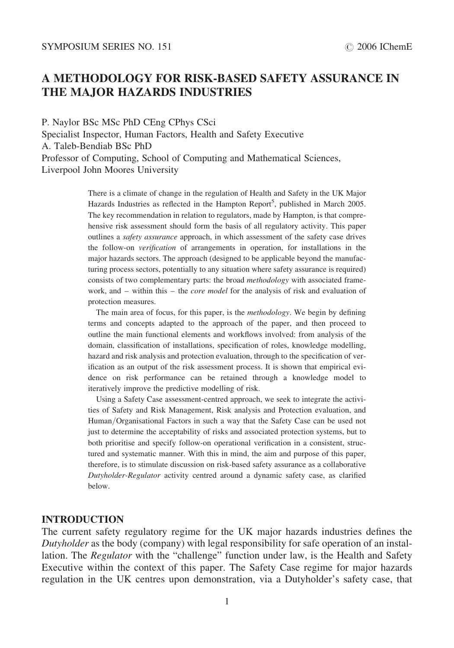## A METHODOLOGY FOR RISK-BASED SAFETY ASSURANCE IN THE MAJOR HAZARDS INDUSTRIES

P. Naylor BSc MSc PhD CEng CPhys CSci Specialist Inspector, Human Factors, Health and Safety Executive A. Taleb-Bendiab BSc PhD Professor of Computing, School of Computing and Mathematical Sciences, Liverpool John Moores University

> There is a climate of change in the regulation of Health and Safety in the UK Major Hazards Industries as reflected in the Hampton Report<sup>5</sup>, published in March 2005. The key recommendation in relation to regulators, made by Hampton, is that comprehensive risk assessment should form the basis of all regulatory activity. This paper outlines a *safety assurance* approach, in which assessment of the safety case drives the follow-on verification of arrangements in operation, for installations in the major hazards sectors. The approach (designed to be applicable beyond the manufacturing process sectors, potentially to any situation where safety assurance is required) consists of two complementary parts: the broad *methodology* with associated framework, and – within this – the *core model* for the analysis of risk and evaluation of protection measures.

> The main area of focus, for this paper, is the *methodology*. We begin by defining terms and concepts adapted to the approach of the paper, and then proceed to outline the main functional elements and workflows involved: from analysis of the domain, classification of installations, specification of roles, knowledge modelling, hazard and risk analysis and protection evaluation, through to the specification of verification as an output of the risk assessment process. It is shown that empirical evidence on risk performance can be retained through a knowledge model to iteratively improve the predictive modelling of risk.

> Using a Safety Case assessment-centred approach, we seek to integrate the activities of Safety and Risk Management, Risk analysis and Protection evaluation, and Human/Organisational Factors in such a way that the Safety Case can be used not just to determine the acceptability of risks and associated protection systems, but to both prioritise and specify follow-on operational verification in a consistent, structured and systematic manner. With this in mind, the aim and purpose of this paper, therefore, is to stimulate discussion on risk-based safety assurance as a collaborative Dutyholder-Regulator activity centred around a dynamic safety case, as clarified below.

#### **INTRODUCTION**

The current safety regulatory regime for the UK major hazards industries defines the Dutyholder as the body (company) with legal responsibility for safe operation of an installation. The *Regulator* with the "challenge" function under law, is the Health and Safety Executive within the context of this paper. The Safety Case regime for major hazards regulation in the UK centres upon demonstration, via a Dutyholder's safety case, that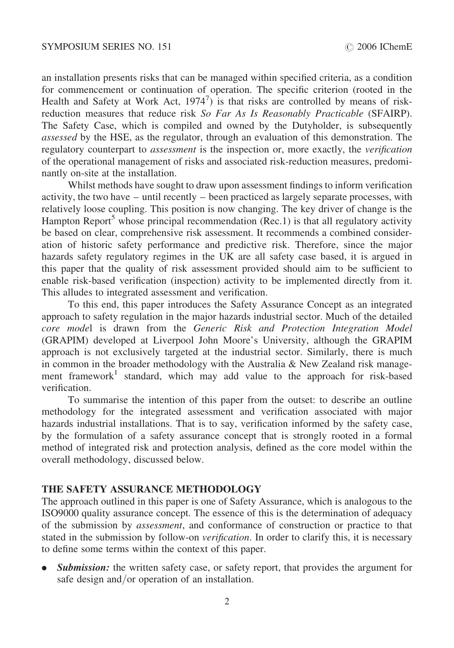an installation presents risks that can be managed within specified criteria, as a condition for commencement or continuation of operation. The specific criterion (rooted in the Health and Safety at Work Act,  $1974^7$ ) is that risks are controlled by means of riskreduction measures that reduce risk So Far As Is Reasonably Practicable (SFAIRP). The Safety Case, which is compiled and owned by the Dutyholder, is subsequently assessed by the HSE, as the regulator, through an evaluation of this demonstration. The regulatory counterpart to *assessment* is the inspection or, more exactly, the *verification* of the operational management of risks and associated risk-reduction measures, predominantly on-site at the installation.

Whilst methods have sought to draw upon assessment findings to inform verification activity, the two have – until recently – been practiced as largely separate processes, with relatively loose coupling. This position is now changing. The key driver of change is the Hampton Report<sup>5</sup> whose principal recommendation (Rec.1) is that all regulatory activity be based on clear, comprehensive risk assessment. It recommends a combined consideration of historic safety performance and predictive risk. Therefore, since the major hazards safety regulatory regimes in the UK are all safety case based, it is argued in this paper that the quality of risk assessment provided should aim to be sufficient to enable risk-based verification (inspection) activity to be implemented directly from it. This alludes to integrated assessment and verification.

To this end, this paper introduces the Safety Assurance Concept as an integrated approach to safety regulation in the major hazards industrial sector. Much of the detailed core model is drawn from the Generic Risk and Protection Integration Model (GRAPIM) developed at Liverpool John Moore's University, although the GRAPIM approach is not exclusively targeted at the industrial sector. Similarly, there is much in common in the broader methodology with the Australia  $\&$  New Zealand risk management framework<sup>1</sup> standard, which may add value to the approach for risk-based verification.

To summarise the intention of this paper from the outset: to describe an outline methodology for the integrated assessment and verification associated with major hazards industrial installations. That is to say, verification informed by the safety case, by the formulation of a safety assurance concept that is strongly rooted in a formal method of integrated risk and protection analysis, defined as the core model within the overall methodology, discussed below.

### THE SAFETY ASSURANCE METHODOLOGY

The approach outlined in this paper is one of Safety Assurance, which is analogous to the ISO9000 quality assurance concept. The essence of this is the determination of adequacy of the submission by assessment, and conformance of construction or practice to that stated in the submission by follow-on *verification*. In order to clarify this, it is necessary to define some terms within the context of this paper.

**Submission:** the written safety case, or safety report, that provides the argument for safe design and/or operation of an installation.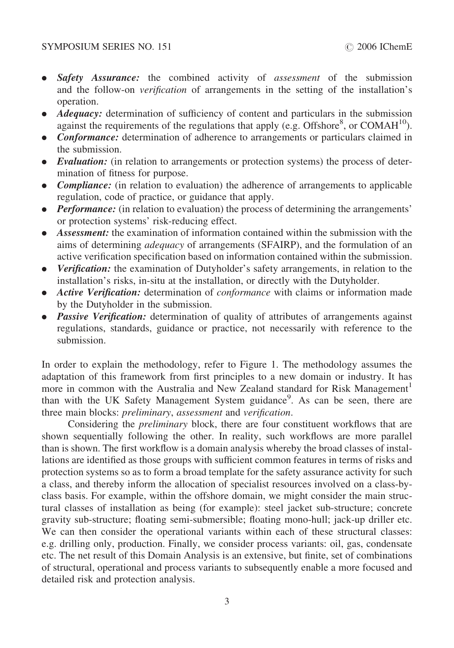- Safety Assurance: the combined activity of assessment of the submission and the follow-on verification of arrangements in the setting of the installation's operation.
- **Adequacy:** determination of sufficiency of content and particulars in the submission against the requirements of the regulations that apply (e.g. Offshore $\degree$ , or COMAH<sup>10</sup>).
- Conformance: determination of adherence to arrangements or particulars claimed in the submission.
- Evaluation: (in relation to arrangements or protection systems) the process of determination of fitness for purpose.
- **Compliance:** (in relation to evaluation) the adherence of arrangements to applicable regulation, code of practice, or guidance that apply.
- Performance: (in relation to evaluation) the process of determining the arrangements' or protection systems' risk-reducing effect.
- Assessment: the examination of information contained within the submission with the aims of determining adequacy of arrangements (SFAIRP), and the formulation of an active verification specification based on information contained within the submission.
- Verification: the examination of Dutyholder's safety arrangements, in relation to the installation's risks, in-situ at the installation, or directly with the Dutyholder.
- Active Verification: determination of *conformance* with claims or information made by the Dutyholder in the submission.
- Passive Verification: determination of quality of attributes of arrangements against regulations, standards, guidance or practice, not necessarily with reference to the submission.

In order to explain the methodology, refer to [Figure 1](#page-3-0). The methodology assumes the adaptation of this framework from first principles to a new domain or industry. It has more in common with the Australia and New Zealand standard for Risk Management<sup>1</sup> than with the UK Safety Management System guidance<sup>9</sup>. As can be seen, there are three main blocks: preliminary, assessment and verification.

Considering the preliminary block, there are four constituent workflows that are shown sequentially following the other. In reality, such workflows are more parallel than is shown. The first workflow is a domain analysis whereby the broad classes of installations are identified as those groups with sufficient common features in terms of risks and protection systems so as to form a broad template for the safety assurance activity for such a class, and thereby inform the allocation of specialist resources involved on a class-byclass basis. For example, within the offshore domain, we might consider the main structural classes of installation as being (for example): steel jacket sub-structure; concrete gravity sub-structure; floating semi-submersible; floating mono-hull; jack-up driller etc. We can then consider the operational variants within each of these structural classes: e.g. drilling only, production. Finally, we consider process variants: oil, gas, condensate etc. The net result of this Domain Analysis is an extensive, but finite, set of combinations of structural, operational and process variants to subsequently enable a more focused and detailed risk and protection analysis.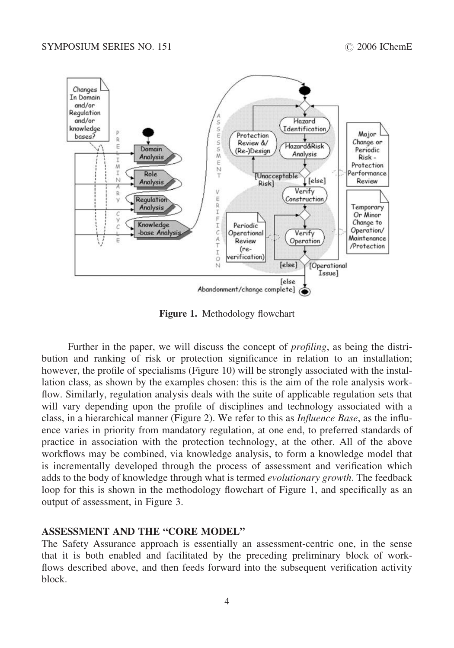<span id="page-3-0"></span>

Figure 1. Methodology flowchart

Further in the paper, we will discuss the concept of *profiling*, as being the distribution and ranking of risk or protection significance in relation to an installation; however, the profile of specialisms [\(Figure 10\)](#page-10-0) will be strongly associated with the installation class, as shown by the examples chosen: this is the aim of the role analysis workflow. Similarly, regulation analysis deals with the suite of applicable regulation sets that will vary depending upon the profile of disciplines and technology associated with a class, in a hierarchical manner ([Figure 2\)](#page-4-0). We refer to this as Influence Base, as the influence varies in priority from mandatory regulation, at one end, to preferred standards of practice in association with the protection technology, at the other. All of the above workflows may be combined, via knowledge analysis, to form a knowledge model that is incrementally developed through the process of assessment and verification which adds to the body of knowledge through what is termed *evolutionary growth*. The feedback loop for this is shown in the methodology flowchart of Figure 1, and specifically as an output of assessment, in [Figure 3.](#page-4-0)

#### ASSESSMENT AND THE "CORE MODEL"

The Safety Assurance approach is essentially an assessment-centric one, in the sense that it is both enabled and facilitated by the preceding preliminary block of workflows described above, and then feeds forward into the subsequent verification activity block.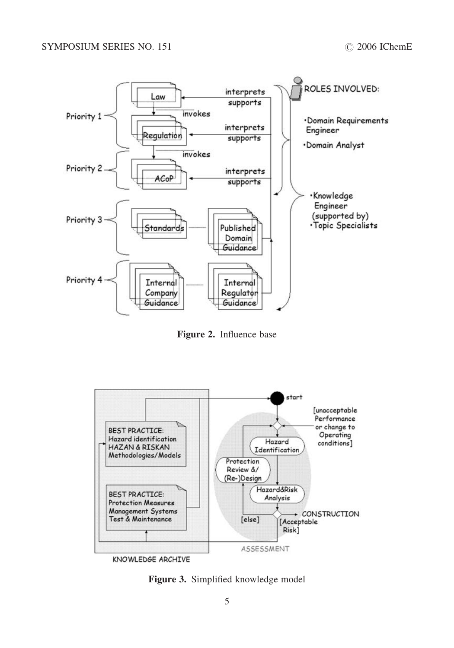<span id="page-4-0"></span>

Figure 2. Influence base



KNOWLEDGE ARCHIVE

Figure 3. Simplified knowledge model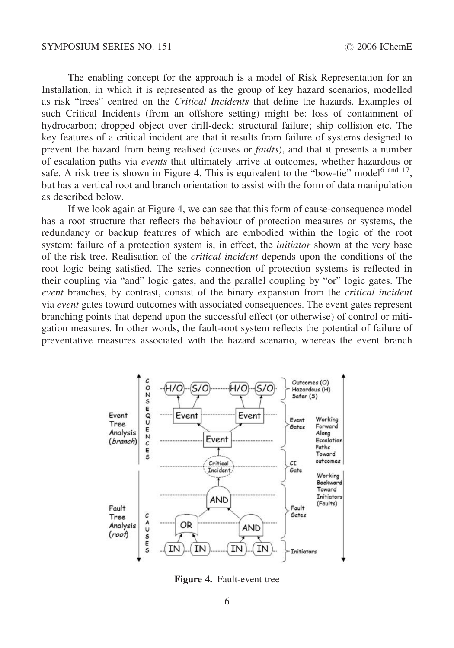The enabling concept for the approach is a model of Risk Representation for an Installation, in which it is represented as the group of key hazard scenarios, modelled as risk "trees" centred on the Critical Incidents that define the hazards. Examples of such Critical Incidents (from an offshore setting) might be: loss of containment of hydrocarbon; dropped object over drill-deck; structural failure; ship collision etc. The key features of a critical incident are that it results from failure of systems designed to prevent the hazard from being realised (causes or faults), and that it presents a number of escalation paths via events that ultimately arrive at outcomes, whether hazardous or safe. A risk tree is shown in Figure 4. This is equivalent to the "bow-tie" model<sup>6 and 17</sup>, but has a vertical root and branch orientation to assist with the form of data manipulation as described below.

If we look again at Figure 4, we can see that this form of cause-consequence model has a root structure that reflects the behaviour of protection measures or systems, the redundancy or backup features of which are embodied within the logic of the root system: failure of a protection system is, in effect, the *initiator* shown at the very base of the risk tree. Realisation of the critical incident depends upon the conditions of the root logic being satisfied. The series connection of protection systems is reflected in their coupling via "and" logic gates, and the parallel coupling by "or" logic gates. The event branches, by contrast, consist of the binary expansion from the *critical incident* via event gates toward outcomes with associated consequences. The event gates represent branching points that depend upon the successful effect (or otherwise) of control or mitigation measures. In other words, the fault-root system reflects the potential of failure of preventative measures associated with the hazard scenario, whereas the event branch



Figure 4. Fault-event tree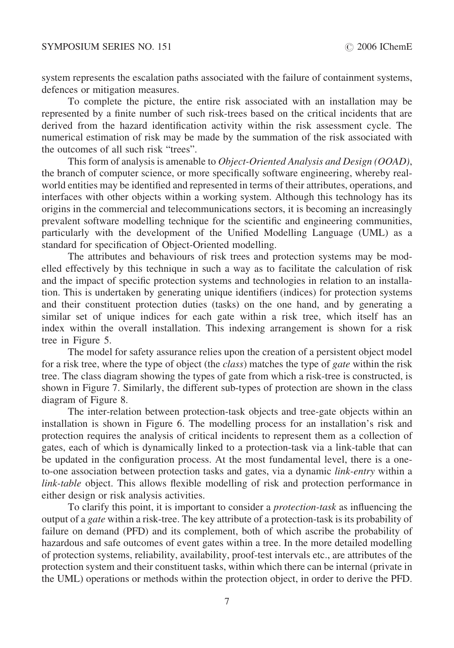system represents the escalation paths associated with the failure of containment systems, defences or mitigation measures.

To complete the picture, the entire risk associated with an installation may be represented by a finite number of such risk-trees based on the critical incidents that are derived from the hazard identification activity within the risk assessment cycle. The numerical estimation of risk may be made by the summation of the risk associated with the outcomes of all such risk "trees".

This form of analysis is amenable to Object-Oriented Analysis and Design (OOAD), the branch of computer science, or more specifically software engineering, whereby realworld entities may be identified and represented in terms of their attributes, operations, and interfaces with other objects within a working system. Although this technology has its origins in the commercial and telecommunications sectors, it is becoming an increasingly prevalent software modelling technique for the scientific and engineering communities, particularly with the development of the Unified Modelling Language (UML) as a standard for specification of Object-Oriented modelling.

The attributes and behaviours of risk trees and protection systems may be modelled effectively by this technique in such a way as to facilitate the calculation of risk and the impact of specific protection systems and technologies in relation to an installation. This is undertaken by generating unique identifiers (indices) for protection systems and their constituent protection duties (tasks) on the one hand, and by generating a similar set of unique indices for each gate within a risk tree, which itself has an index within the overall installation. This indexing arrangement is shown for a risk tree in [Figure 5](#page-7-0).

The model for safety assurance relies upon the creation of a persistent object model for a risk tree, where the type of object (the *class*) matches the type of *gate* within the risk tree. The class diagram showing the types of gate from which a risk-tree is constructed, is shown in [Figure 7.](#page-8-0) Similarly, the different sub-types of protection are shown in the class diagram of [Figure 8.](#page-8-0)

The inter-relation between protection-task objects and tree-gate objects within an installation is shown in [Figure 6.](#page-7-0) The modelling process for an installation's risk and protection requires the analysis of critical incidents to represent them as a collection of gates, each of which is dynamically linked to a protection-task via a link-table that can be updated in the configuration process. At the most fundamental level, there is a oneto-one association between protection tasks and gates, via a dynamic link-entry within a link-table object. This allows flexible modelling of risk and protection performance in either design or risk analysis activities.

To clarify this point, it is important to consider a protection-task as influencing the output of a gate within a risk-tree. The key attribute of a protection-task is its probability of failure on demand (PFD) and its complement, both of which ascribe the probability of hazardous and safe outcomes of event gates within a tree. In the more detailed modelling of protection systems, reliability, availability, proof-test intervals etc., are attributes of the protection system and their constituent tasks, within which there can be internal (private in the UML) operations or methods within the protection object, in order to derive the PFD.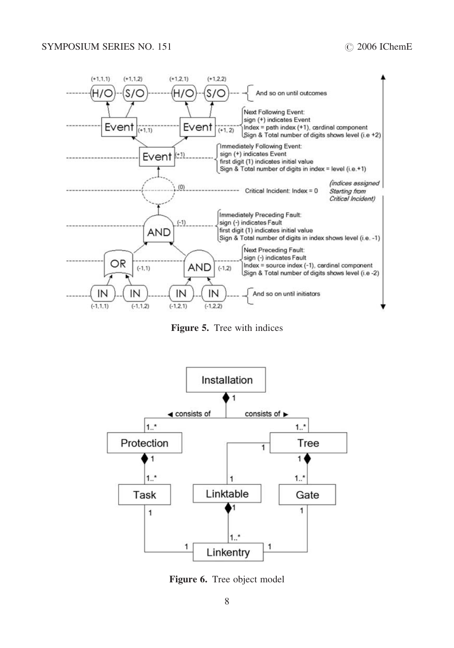<span id="page-7-0"></span>

Figure 5. Tree with indices



Figure 6. Tree object model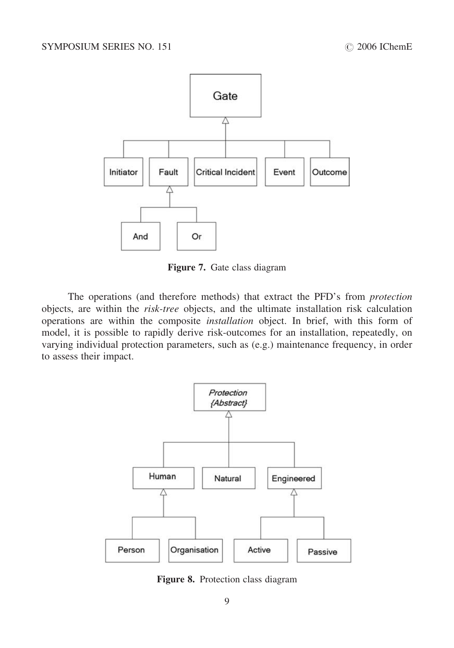<span id="page-8-0"></span>

Figure 7. Gate class diagram

The operations (and therefore methods) that extract the PFD's from protection objects, are within the risk-tree objects, and the ultimate installation risk calculation operations are within the composite installation object. In brief, with this form of model, it is possible to rapidly derive risk-outcomes for an installation, repeatedly, on varying individual protection parameters, such as (e.g.) maintenance frequency, in order to assess their impact.



Figure 8. Protection class diagram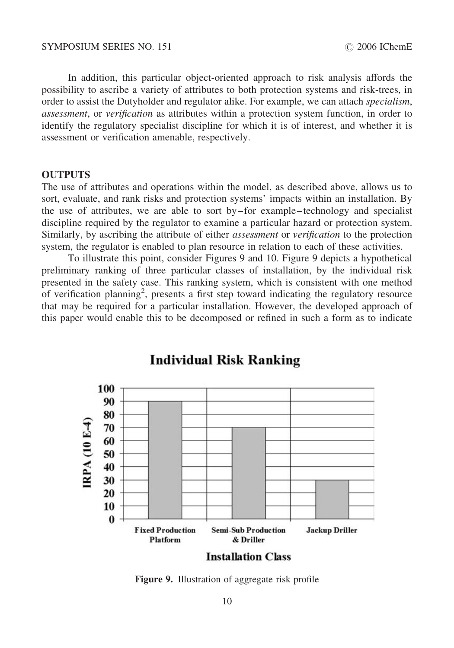In addition, this particular object-oriented approach to risk analysis affords the possibility to ascribe a variety of attributes to both protection systems and risk-trees, in order to assist the Dutyholder and regulator alike. For example, we can attach specialism, assessment, or verification as attributes within a protection system function, in order to identify the regulatory specialist discipline for which it is of interest, and whether it is assessment or verification amenable, respectively.

#### **OUTPUTS**

The use of attributes and operations within the model, as described above, allows us to sort, evaluate, and rank risks and protection systems' impacts within an installation. By the use of attributes, we are able to sort by – for example –technology and specialist discipline required by the regulator to examine a particular hazard or protection system. Similarly, by ascribing the attribute of either *assessment* or *verification* to the protection system, the regulator is enabled to plan resource in relation to each of these activities.

To illustrate this point, consider Figures 9 and [10.](#page-10-0) Figure 9 depicts a hypothetical preliminary ranking of three particular classes of installation, by the individual risk presented in the safety case. This ranking system, which is consistent with one method of verification planning<sup>2</sup>, presents a first step toward indicating the regulatory resource that may be required for a particular installation. However, the developed approach of this paper would enable this to be decomposed or refined in such a form as to indicate

**Individual Risk Ranking** 



**Installation Class** 

Figure 9. Illustration of aggregate risk profile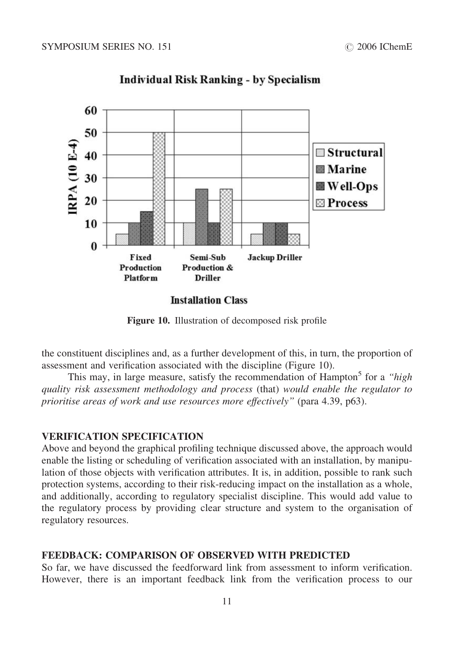<span id="page-10-0"></span>

# **Individual Risk Ranking - by Specialism**

**Installation Class** 

Figure 10. Illustration of decomposed risk profile

the constituent disciplines and, as a further development of this, in turn, the proportion of assessment and verification associated with the discipline (Figure 10).

This may, in large measure, satisfy the recommendation of Hampton<sup>5</sup> for a "high quality risk assessment methodology and process (that) would enable the regulator to prioritise areas of work and use resources more effectively" (para 4.39, p63).

## VERIFICATION SPECIFICATION

Above and beyond the graphical profiling technique discussed above, the approach would enable the listing or scheduling of verification associated with an installation, by manipulation of those objects with verification attributes. It is, in addition, possible to rank such protection systems, according to their risk-reducing impact on the installation as a whole, and additionally, according to regulatory specialist discipline. This would add value to the regulatory process by providing clear structure and system to the organisation of regulatory resources.

## FEEDBACK: COMPARISON OF OBSERVED WITH PREDICTED

So far, we have discussed the feedforward link from assessment to inform verification. However, there is an important feedback link from the verification process to our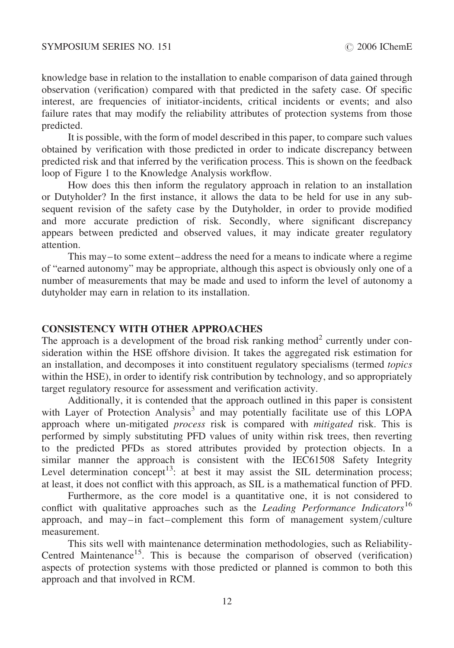knowledge base in relation to the installation to enable comparison of data gained through observation (verification) compared with that predicted in the safety case. Of specific interest, are frequencies of initiator-incidents, critical incidents or events; and also failure rates that may modify the reliability attributes of protection systems from those predicted.

It is possible, with the form of model described in this paper, to compare such values obtained by verification with those predicted in order to indicate discrepancy between predicted risk and that inferred by the verification process. This is shown on the feedback loop of [Figure 1](#page-3-0) to the Knowledge Analysis workflow.

How does this then inform the regulatory approach in relation to an installation or Dutyholder? In the first instance, it allows the data to be held for use in any subsequent revision of the safety case by the Dutyholder, in order to provide modified and more accurate prediction of risk. Secondly, where significant discrepancy appears between predicted and observed values, it may indicate greater regulatory attention.

This may–to some extent–address the need for a means to indicate where a regime of "earned autonomy" may be appropriate, although this aspect is obviously only one of a number of measurements that may be made and used to inform the level of autonomy a dutyholder may earn in relation to its installation.

### CONSISTENCY WITH OTHER APPROACHES

The approach is a development of the broad risk ranking method<sup>2</sup> currently under consideration within the HSE offshore division. It takes the aggregated risk estimation for an installation, and decomposes it into constituent regulatory specialisms (termed topics within the HSE), in order to identify risk contribution by technology, and so appropriately target regulatory resource for assessment and verification activity.

Additionally, it is contended that the approach outlined in this paper is consistent with Layer of Protection Analysis<sup>3</sup> and may potentially facilitate use of this LOPA approach where un-mitigated *process* risk is compared with *mitigated* risk. This is performed by simply substituting PFD values of unity within risk trees, then reverting to the predicted PFDs as stored attributes provided by protection objects. In a similar manner the approach is consistent with the IEC61508 Safety Integrity Level determination concept<sup>13</sup>: at best it may assist the SIL determination process; at least, it does not conflict with this approach, as SIL is a mathematical function of PFD.

Furthermore, as the core model is a quantitative one, it is not considered to conflict with qualitative approaches such as the *Leading Performance Indicators*<sup>16</sup> approach, and may–in fact –complement this form of management system/culture measurement.

This sits well with maintenance determination methodologies, such as Reliability-Centred Maintenance<sup>15</sup>. This is because the comparison of observed (verification) aspects of protection systems with those predicted or planned is common to both this approach and that involved in RCM.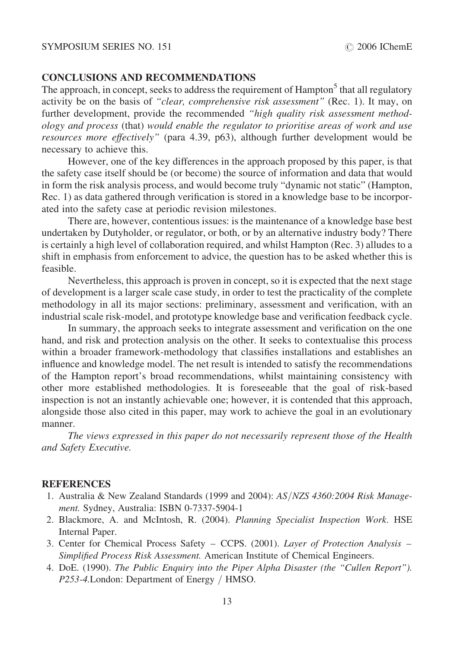## CONCLUSIONS AND RECOMMENDATIONS

The approach, in concept, seeks to address the requirement of Hampton<sup>5</sup> that all regulatory activity be on the basis of "clear, comprehensive risk assessment" (Rec. 1). It may, on further development, provide the recommended "high quality risk assessment methodology and process (that) would enable the regulator to prioritise areas of work and use resources more effectively" (para 4.39, p63), although further development would be necessary to achieve this.

However, one of the key differences in the approach proposed by this paper, is that the safety case itself should be (or become) the source of information and data that would in form the risk analysis process, and would become truly "dynamic not static" (Hampton, Rec. 1) as data gathered through verification is stored in a knowledge base to be incorporated into the safety case at periodic revision milestones.

There are, however, contentious issues: is the maintenance of a knowledge base best undertaken by Dutyholder, or regulator, or both, or by an alternative industry body? There is certainly a high level of collaboration required, and whilst Hampton (Rec. 3) alludes to a shift in emphasis from enforcement to advice, the question has to be asked whether this is feasible.

Nevertheless, this approach is proven in concept, so it is expected that the next stage of development is a larger scale case study, in order to test the practicality of the complete methodology in all its major sections: preliminary, assessment and verification, with an industrial scale risk-model, and prototype knowledge base and verification feedback cycle.

In summary, the approach seeks to integrate assessment and verification on the one hand, and risk and protection analysis on the other. It seeks to contextualise this process within a broader framework-methodology that classifies installations and establishes an influence and knowledge model. The net result is intended to satisfy the recommendations of the Hampton report's broad recommendations, whilst maintaining consistency with other more established methodologies. It is foreseeable that the goal of risk-based inspection is not an instantly achievable one; however, it is contended that this approach, alongside those also cited in this paper, may work to achieve the goal in an evolutionary manner.

The views expressed in this paper do not necessarily represent those of the Health and Safety Executive.

#### **REFERENCES**

- 1. Australia & New Zealand Standards (1999 and 2004): AS/NZS 4360:2004 Risk Management. Sydney, Australia: ISBN 0-7337-5904-1
- 2. Blackmore, A. and McIntosh, R. (2004). Planning Specialist Inspection Work. HSE Internal Paper.
- 3. Center for Chemical Process Safety CCPS. (2001). Layer of Protection Analysis Simplified Process Risk Assessment. American Institute of Chemical Engineers.
- 4. DoE. (1990). The Public Enquiry into the Piper Alpha Disaster (the "Cullen Report"). P253-4.London: Department of Energy / HMSO.